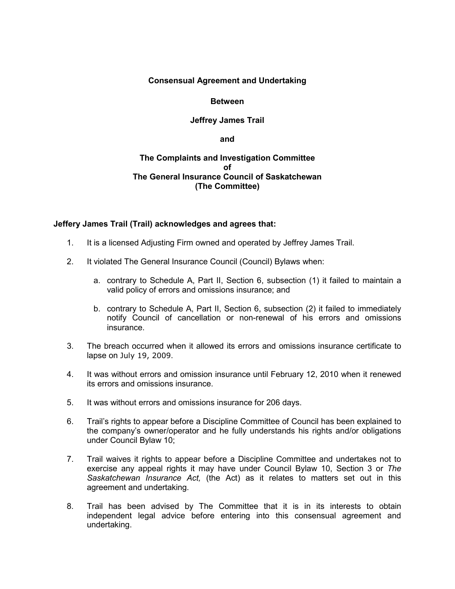## **Consensual Agreement and Undertaking**

### **Between**

## **Jeffrey James Trail**

**and**

## **The Complaints and Investigation Committee of The General Insurance Council of Saskatchewan (The Committee)**

#### **Jeffery James Trail (Trail) acknowledges and agrees that:**

- 1. It is a licensed Adjusting Firm owned and operated by Jeffrey James Trail.
- 2. It violated The General Insurance Council (Council) Bylaws when:
	- a. contrary to Schedule A, Part II, Section 6, subsection (1) it failed to maintain a valid policy of errors and omissions insurance; and
	- b. contrary to Schedule A, Part II, Section 6, subsection (2) it failed to immediately notify Council of cancellation or non-renewal of his errors and omissions insurance.
- 3. The breach occurred when it allowed its errors and omissions insurance certificate to lapse on July 19, 2009.
- 4. It was without errors and omission insurance until February 12, 2010 when it renewed its errors and omissions insurance.
- 5. It was without errors and omissions insurance for 206 days.
- 6. Trail's rights to appear before a Discipline Committee of Council has been explained to the company's owner/operator and he fully understands his rights and/or obligations under Council Bylaw 10;
- 7. Trail waives it rights to appear before a Discipline Committee and undertakes not to exercise any appeal rights it may have under Council Bylaw 10, Section 3 or *The Saskatchewan Insurance Act,* (the Act) as it relates to matters set out in this agreement and undertaking.
- 8. Trail has been advised by The Committee that it is in its interests to obtain independent legal advice before entering into this consensual agreement and undertaking.